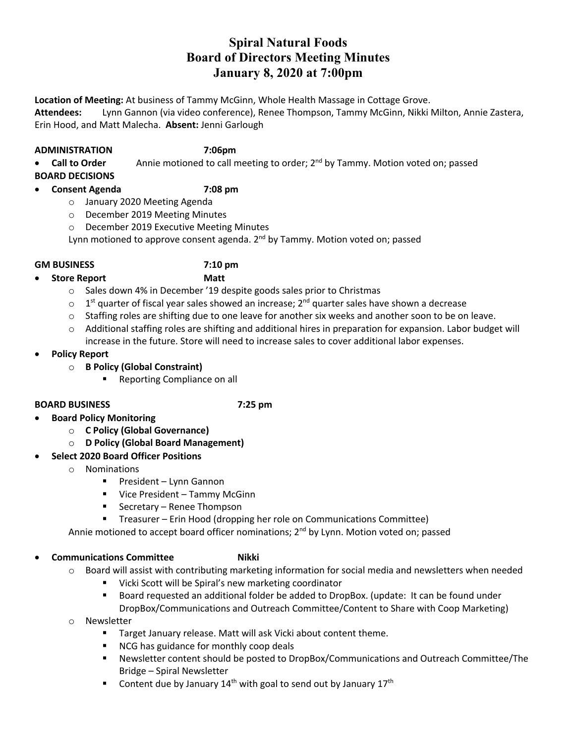# **Spiral Natural Foods Board of Directors Meeting Minutes January 8, 2020 at 7:00pm**

**Location of Meeting:** At business of Tammy McGinn, Whole Health Massage in Cottage Grove.

**Attendees:** Lynn Gannon (via video conference), Renee Thompson, Tammy McGinn, Nikki Milton, Annie Zastera, Erin Hood, and Matt Malecha. **Absent:** Jenni Garlough

### **ADMINISTRATION 7:06pm**

• **Call to Order** Annie motioned to call meeting to order; 2nd by Tammy. Motion voted on; passed

**BOARD DECISIONS**

## • **Consent Agenda 7:08 pm**

- o January 2020 Meeting Agenda
- o December 2019 Meeting Minutes
- o December 2019 Executive Meeting Minutes

Lynn motioned to approve consent agenda.  $2^{nd}$  by Tammy. Motion voted on; passed

### **GM BUSINESS 7:10 pm**

- **Store Report Matt**
	- o Sales down 4% in December '19 despite goods sales prior to Christmas
	- $\circ$  1<sup>st</sup> quarter of fiscal year sales showed an increase; 2<sup>nd</sup> quarter sales have shown a decrease
	- $\circ$  Staffing roles are shifting due to one leave for another six weeks and another soon to be on leave.
	- o Additional staffing roles are shifting and additional hires in preparation for expansion. Labor budget will increase in the future. Store will need to increase sales to cover additional labor expenses.
- **Policy Report**

## o **B Policy (Global Constraint)**

■ Reporting Compliance on all

### **BOARD BUSINESS 7:25 pm**

- **Board Policy Monitoring** 
	- o **C Policy (Global Governance)**
		- o **D Policy (Global Board Management)**

## • **Select 2020 Board Officer Positions**

- o Nominations
	- President Lynn Gannon
	- Vice President Tammy McGinn
	- Secretary Renee Thompson
	- Treasurer Erin Hood (dropping her role on Communications Committee)

Annie motioned to accept board officer nominations;  $2<sup>nd</sup>$  by Lynn. Motion voted on; passed

# **Communications Committee Mikki**

- o Board will assist with contributing marketing information for social media and newsletters when needed
	- § Vicki Scott will be Spiral's new marketing coordinator
	- § Board requested an additional folder be added to DropBox. (update: It can be found under DropBox/Communications and Outreach Committee/Content to Share with Coop Marketing)
- o Newsletter
	- Target January release. Matt will ask Vicki about content theme.
	- NCG has guidance for monthly coop deals
	- Newsletter content should be posted to DropBox/Communications and Outreach Committee/The Bridge – Spiral Newsletter
	- **•** Content due by January 14<sup>th</sup> with goal to send out by January 17<sup>th</sup>